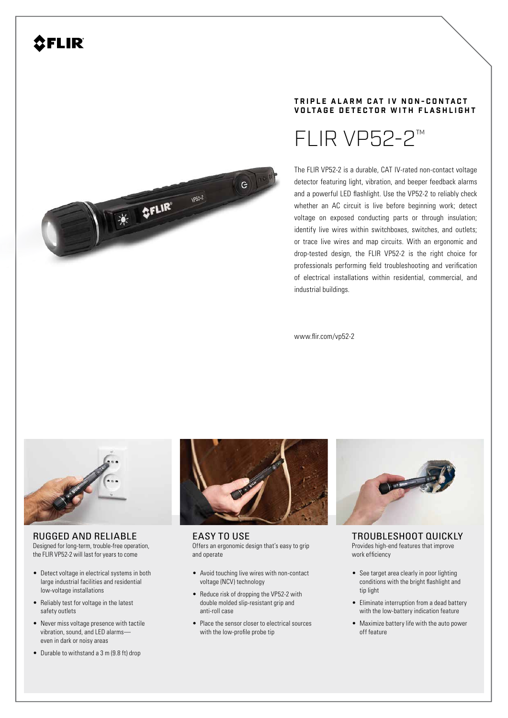

## **TRIPLE ALARM CAT IV NON-CONTACT VOLTAGE DETECTOR WITH FLASHLIGHT**



The FLIR VP52-2 is a durable, CAT IV-rated non-contact voltage detector featuring light, vibration, and beeper feedback alarms and a powerful LED flashlight. Use the VP52-2 to reliably check whether an AC circuit is live before beginning work; detect voltage on exposed conducting parts or through insulation; identify live wires within switchboxes, switches, and outlets; or trace live wires and map circuits. With an ergonomic and drop-tested design, the FLIR VP52-2 is the right choice for professionals performing field troubleshooting and verification of electrical installations within residential, commercial, and industrial buildings.

www.flir.com/vp52-2



RUGGED AND RELIABLE Designed for long-term, trouble-free operation, the FLIR VP52-2 will last for years to come

- Detect voltage in electrical systems in both large industrial facilities and residential low-voltage installations
- Reliably test for voltage in the latest safety outlets
- Never miss voltage presence with tactile vibration, sound, and LED alarms even in dark or noisy areas
- Durable to withstand a 3 m (9.8 ft) drop



EASY TO USE Offers an ergonomic design that's easy to grip and operate

- Avoid touching live wires with non-contact voltage (NCV) technology
- Reduce risk of dropping the VP52-2 with double molded slip-resistant grip and anti-roll case
- Place the sensor closer to electrical sources with the low-profile probe tip



TROUBLESHOOT QUICKLY Provides high-end features that improve work efficiency

- See target area clearly in poor lighting conditions with the bright flashlight and tip light
- Eliminate interruption from a dead battery with the low-battery indication feature
- Maximize battery life with the auto power off feature